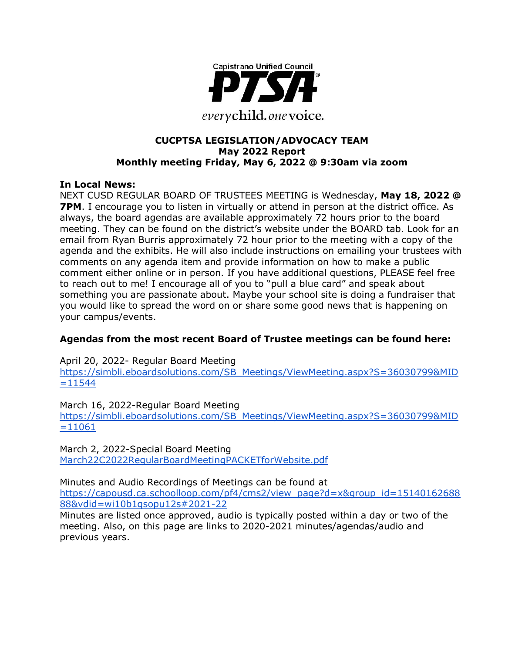

### **CUCPTSA LEGISLATION/ADVOCACY TEAM May 2022 Report Monthly meeting Friday, May 6, 2022 @ 9:30am via zoom**

### **In Local News:**

NEXT CUSD REGULAR BOARD OF TRUSTEES MEETING is Wednesday, **May 18, 2022 @ 7PM.** I encourage you to listen in virtually or attend in person at the district office. As always, the board agendas are available approximately 72 hours prior to the board meeting. They can be found on the district's website under the BOARD tab. Look for an email from Ryan Burris approximately 72 hour prior to the meeting with a copy of the agenda and the exhibits. He will also include instructions on emailing your trustees with comments on any agenda item and provide information on how to make a public comment either online or in person. If you have additional questions, PLEASE feel free to reach out to me! I encourage all of you to "pull a blue card" and speak about something you are passionate about. Maybe your school site is doing a fundraiser that you would like to spread the word on or share some good news that is happening on your campus/events.

### **Agendas from the most recent Board of Trustee meetings can be found here:**

April 20, 2022- Regular Board Meeting

https://simbli.eboardsolutions.com/SB\_Meetings/ViewMeeting.aspx?S=36030799&MID  $=11544$ 

March 16, 2022-Regular Board Meeting

https://simbli.eboardsolutions.com/SB\_Meetings/ViewMeeting.aspx?S=36030799&MID  $=11061$ 

March 2, 2022-Special Board Meeting March22C2022RegularBoardMeetingPACKETforWebsite.pdf

Minutes and Audio Recordings of Meetings can be found at

https://capousd.ca.schoolloop.com/pf4/cms2/view\_page?d=x&group\_id=15140162688 88&vdid=wi10b1qsopu12s#2021-22

Minutes are listed once approved, audio is typically posted within a day or two of the meeting. Also, on this page are links to 2020-2021 minutes/agendas/audio and previous years.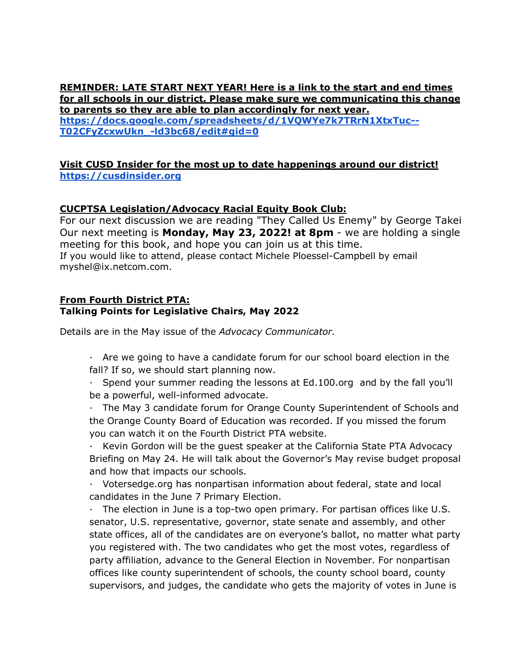**REMINDER: LATE START NEXT YEAR! Here is a link to the start and end times for all schools in our district. Please make sure we communicating this change to parents so they are able to plan accordingly for next year. https://docs.google.com/spreadsheets/d/1VQWYe7k7TRrN1XtxTuc-- T02CFyZcxwUkn\_-ld3bc68/edit#gid=0**

#### **Visit CUSD Insider for the most up to date happenings around our district! https://cusdinsider.org**

## **CUCPTSA Legislation/Advocacy Racial Equity Book Club:**

For our next discussion we are reading "They Called Us Enemy" by George Takei Our next meeting is **Monday, May 23, 2022! at 8pm** - we are holding a single meeting for this book, and hope you can join us at this time. If you would like to attend, please contact Michele Ploessel-Campbell by email myshel@ix.netcom.com.

#### **From Fourth District PTA: Talking Points for Legislative Chairs, May 2022**

Details are in the May issue of the *Advocacy Communicator.*

- · Are we going to have a candidate forum for our school board election in the fall? If so, we should start planning now.
- · Spend your summer reading the lessons at Ed.100.org and by the fall you'll be a powerful, well-informed advocate.
- · The May 3 candidate forum for Orange County Superintendent of Schools and the Orange County Board of Education was recorded. If you missed the forum you can watch it on the Fourth District PTA website.
- · Kevin Gordon will be the guest speaker at the California State PTA Advocacy Briefing on May 24. He will talk about the Governor's May revise budget proposal and how that impacts our schools.
- · Votersedge.org has nonpartisan information about federal, state and local candidates in the June 7 Primary Election.
- · The election in June is a top-two open primary. For partisan offices like U.S. senator, U.S. representative, governor, state senate and assembly, and other state offices, all of the candidates are on everyone's ballot, no matter what party you registered with. The two candidates who get the most votes, regardless of party affiliation, advance to the General Election in November. For nonpartisan offices like county superintendent of schools, the county school board, county supervisors, and judges, the candidate who gets the majority of votes in June is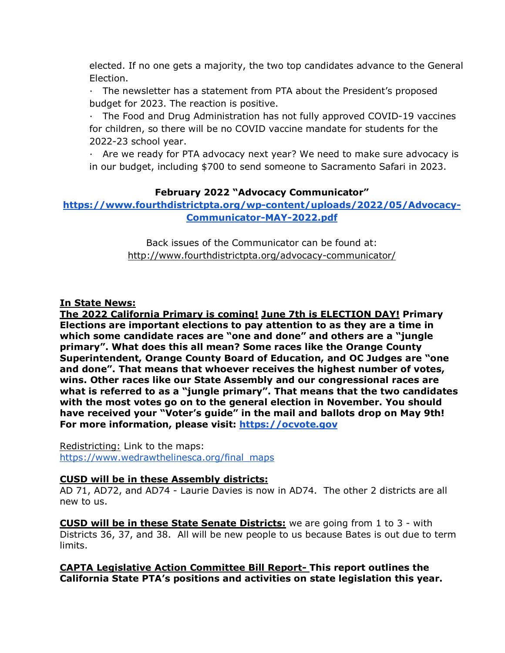elected. If no one gets a majority, the two top candidates advance to the General Election.

· The newsletter has a statement from PTA about the President's proposed budget for 2023. The reaction is positive.

· The Food and Drug Administration has not fully approved COVID-19 vaccines for children, so there will be no COVID vaccine mandate for students for the 2022-23 school year.

· Are we ready for PTA advocacy next year? We need to make sure advocacy is in our budget, including \$700 to send someone to Sacramento Safari in 2023.

# **February 2022 "Advocacy Communicator"**

**https://www.fourthdistrictpta.org/wp-content/uploads/2022/05/Advocacy-Communicator-MAY-2022.pdf**

> Back issues of the Communicator can be found at: http://www.fourthdistrictpta.org/advocacy-communicator/

## **In State News:**

**The 2022 California Primary is coming! June 7th is ELECTION DAY! Primary Elections are important elections to pay attention to as they are a time in which some candidate races are "one and done" and others are a "jungle primary". What does this all mean? Some races like the Orange County Superintendent, Orange County Board of Education, and OC Judges are "one and done". That means that whoever receives the highest number of votes, wins. Other races like our State Assembly and our congressional races are what is referred to as a "jungle primary". That means that the two candidates with the most votes go on to the general election in November. You should have received your "Voter's guide" in the mail and ballots drop on May 9th! For more information, please visit: https://ocvote.gov**

Redistricting: Link to the maps: https://www.wedrawthelinesca.org/final\_maps

### **CUSD will be in these Assembly districts:**

AD 71, AD72, and AD74 - Laurie Davies is now in AD74. The other 2 districts are all new to us.

**CUSD will be in these State Senate Districts:** we are going from 1 to 3 - with Districts 36, 37, and 38. All will be new people to us because Bates is out due to term limits.

**CAPTA Legislative Action Committee Bill Report- This report outlines the California State PTA's positions and activities on state legislation this year.**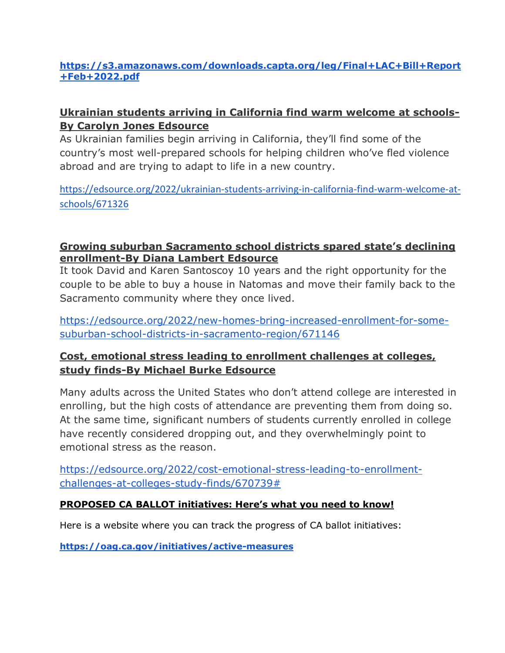# **https://s3.amazonaws.com/downloads.capta.org/leg/Final+LAC+Bill+Report +Feb+2022.pdf**

# **Ukrainian students arriving in California find warm welcome at schools-By Carolyn Jones Edsource**

As Ukrainian families begin arriving in California, they'll find some of the country's most well-prepared schools for helping children who've fled violence abroad and are trying to adapt to life in a new country.

https://edsource.org/2022/ukrainian-students-arriving-in-california-find-warm-welcome-atschools/671326

# **Growing suburban Sacramento school districts spared state's declining enrollment-By Diana Lambert Edsource**

It took David and Karen Santoscoy 10 years and the right opportunity for the couple to be able to buy a house in Natomas and move their family back to the Sacramento community where they once lived.

https://edsource.org/2022/new-homes-bring-increased-enrollment-for-somesuburban-school-districts-in-sacramento-region/671146

# **Cost, emotional stress leading to enrollment challenges at colleges, study finds-By Michael Burke Edsource**

Many adults across the United States who don't attend college are interested in enrolling, but the high costs of attendance are preventing them from doing so. At the same time, significant numbers of students currently enrolled in college have recently considered dropping out, and they overwhelmingly point to emotional stress as the reason.

https://edsource.org/2022/cost-emotional-stress-leading-to-enrollmentchallenges-at-colleges-study-finds/670739#

# **PROPOSED CA BALLOT initiatives: Here's what you need to know!**

Here is a website where you can track the progress of CA ballot initiatives:

**https://oag.ca.gov/initiatives/active-measures**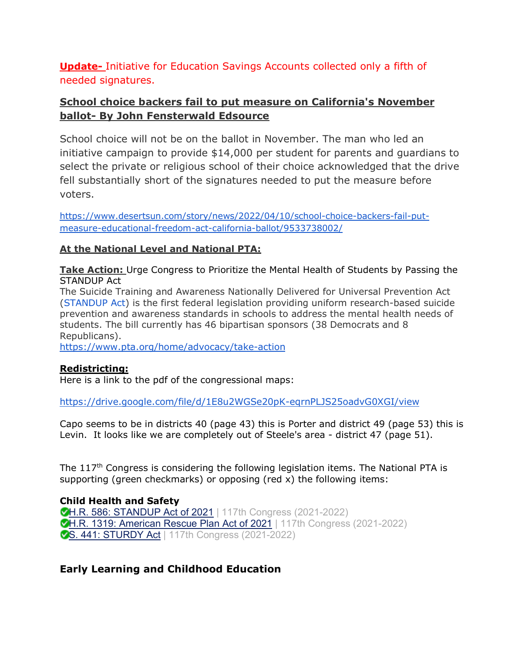**Update-** Initiative for Education Savings Accounts collected only a fifth of needed signatures.

# **School choice backers fail to put measure on California's November ballot- By John Fensterwald Edsource**

School choice will not be on the ballot in November. The man who led an initiative campaign to provide \$14,000 per student for parents and guardians to select the private or religious school of their choice acknowledged that the drive fell substantially short of the signatures needed to put the measure before voters.

https://www.desertsun.com/story/news/2022/04/10/school-choice-backers-fail-putmeasure-educational-freedom-act-california-ballot/9533738002/

# **At the National Level and National PTA:**

**Take Action:** Urge Congress to Prioritize the Mental Health of Students by Passing the STANDUP Act

The Suicide Training and Awareness Nationally Delivered for Universal Prevention Act (STANDUP Act) is the first federal legislation providing uniform research-based suicide prevention and awareness standards in schools to address the mental health needs of students. The bill currently has 46 bipartisan sponsors (38 Democrats and 8 Republicans).

https://www.pta.org/home/advocacy/take-action

### **Redistricting:**

Here is a link to the pdf of the congressional maps:

https://drive.google.com/file/d/1E8u2WGSe20pK-eqrnPLJS25oadvG0XGI/view

Capo seems to be in districts 40 (page 43) this is Porter and district 49 (page 53) this is Levin. It looks like we are completely out of Steele's area - district 47 (page 51).

The  $117<sup>th</sup>$  Congress is considering the following legislation items. The National PTA is supporting (green checkmarks) or opposing (red x) the following items:

**Child Health and Safety CH.R. 586: STANDUP Act of 2021** | 117th Congress (2021-2022)

**CH.R. 1319: American Rescue Plan Act of 2021** | 117th Congress (2021-2022) **S. 441: STURDY Act | 117th Congress (2021-2022)** 

# **Early Learning and Childhood Education**